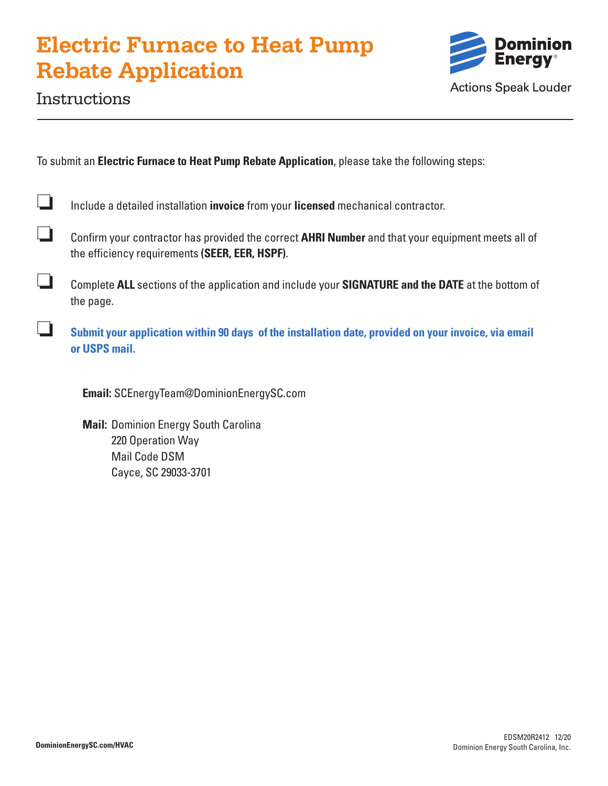# **Electric Furnace to Heat Pump Rebate Application**



# Instructions

To submit an **Electric Furnace to Heat Pump Rebate Application**, please take the following steps:

| $\Box$ | Include a detailed installation invoice from your licensed mechanical contractor. |
|--------|-----------------------------------------------------------------------------------|
|--------|-----------------------------------------------------------------------------------|

- ❏ Confirm your contractor has provided the correct **AHRI Number** and that your equipment meets all of the efficiency requirements **(SEER, EER, HSPF)**.
- ❏ Complete **ALL** sections of the application and include your **SIGNATURE and the DATE** at the bottom of the page.
- ❏ **Submit your application within 90 days of the installation date, provided on your invoice, via email or USPS mail.**

 **Email:** SCEnergyTeam@DominionEnergySC.com

 **Mail:** Dominion Energy South Carolina 220 Operation Way Mail Code DSM Cayce, SC 29033-3701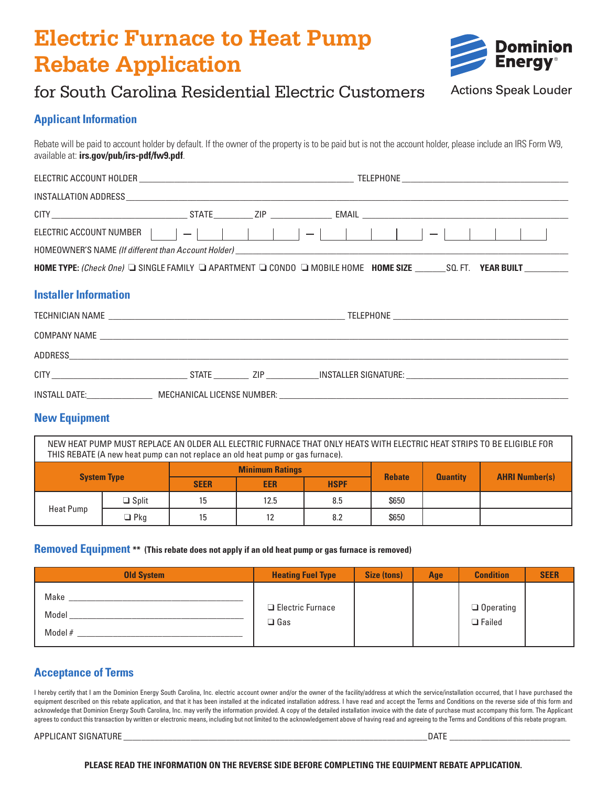# **Electric Furnace to Heat Pump Rebate Application**



# for South Carolina Residential Electric Customers

## **Actions Speak Louder**

### **Applicant Information**

Rebate will be paid to account holder by default. If the owner of the property is to be paid but is not the account holder, please include an IRS Form W9, available at: **irs.gov/pub/irs-pdf/fw9.pdf**.

| HOMEOWNER'S NAME (If different than Account Holder) <b>And Account Account Account Account Account Account Account</b> |  |  |  |  |
|------------------------------------------------------------------------------------------------------------------------|--|--|--|--|
| HOME TYPE: (Check One) I SINGLE FAMILY I APARTMENT I CONDO I MOBILE HOME HOME SIZE _______SQ. FT. YEAR BUILT _________ |  |  |  |  |
| <b>Installer Information</b>                                                                                           |  |  |  |  |
|                                                                                                                        |  |  |  |  |
|                                                                                                                        |  |  |  |  |
|                                                                                                                        |  |  |  |  |
|                                                                                                                        |  |  |  |  |
| INSTALL DATE: MECHANICAL LICENSE NUMBER:                                                                               |  |  |  |  |

## **New Equipment**

NEW HEAT PUMP MUST REPLACE AN OLDER ALL ELECTRIC FURNACE THAT ONLY HEATS WITH ELECTRIC HEAT STRIPS TO BE ELIGIBLE FOR THIS REBATE (A new heat pump can not replace an old heat pump or gas furnace).

| <b>System Type</b> |              | <b>Minimum Ratings</b> |            |             | <b>Rebate</b> | <b>Quantity</b> | <b>AHRI Number(s)</b> |  |
|--------------------|--------------|------------------------|------------|-------------|---------------|-----------------|-----------------------|--|
|                    |              | <b>SEER</b>            | <b>EER</b> | <b>HSPF</b> |               |                 |                       |  |
| Heat Pump          | $\Box$ Split | 15                     | 12.5       | 8.5         | \$650         |                 |                       |  |
|                    | $\Box$ Pkg   | 15                     | 10<br>ΙZ   | 8.2         | \$650         |                 |                       |  |

#### **Removed Equipment \*\* (This rebate does not apply if an old heat pump or gas furnace is removed)**

| <b>Old System</b>          | <b>Heating Fuel Type</b>                 | Size (tons) | Age | <b>Condition</b>                  | <b>SEER</b> |
|----------------------------|------------------------------------------|-------------|-----|-----------------------------------|-------------|
| Make<br>Model<br>Model $#$ | $\Box$ Electric Furnace<br>$\square$ Gas |             |     | $\Box$ Operating<br>$\Box$ Failed |             |

## **Acceptance of Terms**

I hereby certify that I am the Dominion Energy South Carolina, Inc. electric account owner and/or the owner of the facility/address at which the service/installation occurred, that I have purchased the equipment described on this rebate application, and that it has been installed at the indicated installation address. I have read and accept the Terms and Conditions on the reverse side of this form and acknowledge that Dominion Energy South Carolina, Inc. may verify the information provided. A copy of the detailed installation invoice with the date of purchase must accompany this form. The Applicant agrees to conduct this transaction by written or electronic means, including but not limited to the acknowledgement above of having read and agreeing to the Terms and Conditions of this rebate program.

APPLICANT SIGNATURE \_\_\_\_\_\_\_\_\_\_\_\_\_\_\_\_\_\_\_\_\_\_\_\_\_\_\_\_\_\_\_\_\_\_\_\_\_\_\_\_\_\_\_\_\_\_\_\_\_\_\_\_\_\_\_\_\_\_\_\_\_\_\_\_\_\_\_\_DATE \_\_\_\_\_\_\_\_\_\_\_\_\_\_\_\_\_\_\_\_\_\_\_\_\_\_\_